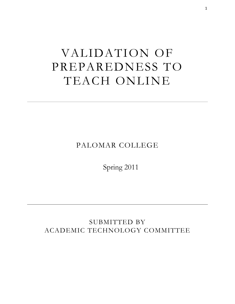# VALIDATION OF PREPAREDNESS TO TEACH ONLINE

PALOMAR COLLEGE

Spring 2011

SUBMITTED BY ACADEMIC TECHNOLOGY COMMITTEE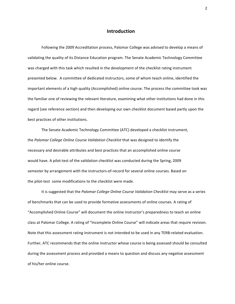#### **Introduction**

Following the 2009 Accreditation process, Palomar College was advised to develop a means of validating the quality of its Distance Education program. The Senate Academic Technology Committee was charged with this task which resulted in the development of the checklist rating instrument presented below. A committee of dedicated instructors, some of whom teach online, identified the important elements of a high quality (Accomplished) online course. The process the committee took was the familiar one of reviewing the relevant literature, examining what other institutions had done in this regard (see reference section) and then developing our own checklist document based partly upon the best practices of other institutions.

The Senate Academic Technology Committee (ATC) developed a checklist instrument, the Palomar College Online Course Validation Checklist that was designed to identify the necessary and desirable attributes and best practices that an accomplished online course would have. A pilot-test of the validation checklist was conducted during the Spring, 2009 semester by arrangement with the instructors-of-record for several online courses. Based on the pilot-test some modifications to the checklist were made.

It is suggested that the *Palomar College Online Course Validation Checklist* may serve as a series of benchmarks that can be used to provide formative assessments of online courses. A rating of "Accomplished Online Course" will document the online instructor's preparedness to teach an online class at Palomar College. A rating of "Incomplete Online Course" will indicate areas that require revision. Note that this assessment rating instrument is not intended to be used in any TERB-related evaluation. Further, ATC recommends that the online instructor whose course is being assessed should be consulted during the assessment process and provided a means to question and discuss any negative assessment of his/her online course.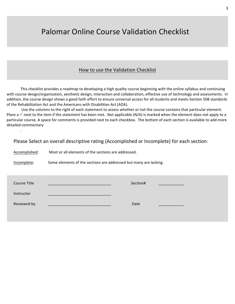# Palomar Online Course Validation Checklist

# How to use the Validation Checklist

This checklist provides a roadmap to developing a high quality course beginning with the online syllabus and continuing with course design/organization, aesthetic design, interaction and collaboration, effective use of technology and assessments. In addition, the course design shows a good faith effort to ensure universal access for all students and meets Section 508 standards of the Rehabilitation Act and the Americans with Disabilities Act (ADA).

Use the columns to the right of each statement to assess whether or not the course contains that particular element. Place a  $\checkmark$  next to the item if the statement has been met. Not applicable (N/A) is marked when the element does not apply to a particular course. A space for comments is provided next to each checkbox. The bottom of each section is available to add more detailed commentary

Please Select an overall descriptive rating (Accomplished or Incomplete) for each section:

Accomplished: Most or all elements of the sections are addressed.

 $\ddot{\phantom{0}}$ 

Incomplete: Some elements of the sections are addressed but many are lacking.

| Course Title | Section# |  |
|--------------|----------|--|
| Instructor   |          |  |
| Reviewed by  | Date     |  |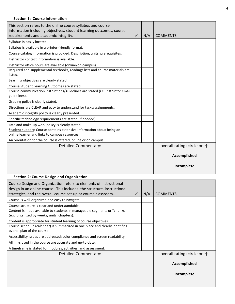#### **Section 1: Course Information**

| This section refers to the online course syllabus and course<br>information including objectives, student learning outcomes, course<br>requirements and academic integrity.      | $\checkmark$ | N/A | <b>COMMENTS</b>              |
|----------------------------------------------------------------------------------------------------------------------------------------------------------------------------------|--------------|-----|------------------------------|
| Syllabus is easily located.                                                                                                                                                      |              |     |                              |
| Syllabus is available in a printer-friendly format.                                                                                                                              |              |     |                              |
| Course catalog information is provided: Description, units, prerequisites.                                                                                                       |              |     |                              |
| Instructor contact information is available.                                                                                                                                     |              |     |                              |
| Instructor office hours are available (online/on-campus).                                                                                                                        |              |     |                              |
| Required and supplemental textbooks, readings lists and course materials are<br>listed.                                                                                          |              |     |                              |
| Learning objectives are clearly stated.                                                                                                                                          |              |     |                              |
| Course Student Learning Outcomes are stated.                                                                                                                                     |              |     |                              |
| Course communication instructions/guidelines are stated (i.e. Instructor email<br>guidelines).                                                                                   |              |     |                              |
| Grading policy is clearly stated.                                                                                                                                                |              |     |                              |
| Directions are CLEAR and easy to understand for tasks/assignments.                                                                                                               |              |     |                              |
| Academic integrity policy is clearly presented.                                                                                                                                  |              |     |                              |
| Specific technology requirements are stated (if needed).                                                                                                                         |              |     |                              |
| Late and make-up work policy is clearly stated.                                                                                                                                  |              |     |                              |
| Student support: Course contains extensive information about being an                                                                                                            |              |     |                              |
| online learner and links to campus resources.                                                                                                                                    |              |     |                              |
| An orientation for the course is offered, online or on campus.                                                                                                                   |              |     |                              |
| Detailed Commentary:                                                                                                                                                             |              |     | overall rating (circle one): |
|                                                                                                                                                                                  |              |     | Accomplished                 |
|                                                                                                                                                                                  |              |     |                              |
|                                                                                                                                                                                  |              |     |                              |
|                                                                                                                                                                                  |              |     | Incomplete                   |
| <b>Section 2: Course Design and Organization</b>                                                                                                                                 |              |     |                              |
| Course Design and Organization refers to elements of instructional                                                                                                               |              |     |                              |
| design in an online course. This includes: the structure, instructional                                                                                                          |              |     |                              |
| strategies, and the overall course set-up or course classroom.                                                                                                                   |              | N/A | <b>COMMENTS</b>              |
| Course is well-organized and easy to navigate.                                                                                                                                   |              |     |                              |
| Course structure is clear and understandable.<br>Content is made available to students in manageable segments or "chunks"                                                        |              |     |                              |
| (e.g. organized by weeks, units, chapters).                                                                                                                                      |              |     |                              |
| Content is appropriate for student learning of course objectives.<br>Course schedule (calendar) is summarized in one place and clearly identifies<br>overall plan of the course. |              |     |                              |
| Accessibility issues are addressed: color compliance and screen readability.                                                                                                     |              |     |                              |
| All links used in the course are accurate and up-to-date.                                                                                                                        |              |     |                              |
| A timeframe is stated for modules, activities, and assessment.                                                                                                                   |              |     |                              |
| Detailed Commentary:                                                                                                                                                             |              |     | overall rating (circle one): |
|                                                                                                                                                                                  |              |     |                              |
|                                                                                                                                                                                  |              |     | Accomplished                 |
|                                                                                                                                                                                  |              |     |                              |
|                                                                                                                                                                                  |              |     | Incomplete                   |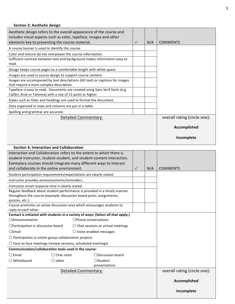### Section 3: Aesthetic design

| Aesthetic design refers to the overall appearance of the course and<br>includes visual aspects such as color, typeface, images and other<br>elements key to presenting the course material. | $\checkmark$ | N/A | <b>COMMENTS</b>              |
|---------------------------------------------------------------------------------------------------------------------------------------------------------------------------------------------|--------------|-----|------------------------------|
| A course banner is used to identify the course.                                                                                                                                             |              |     |                              |
| Color and texture do not overpower the course information.                                                                                                                                  |              |     |                              |
| Sufficient contrast between text and background makes information easy to<br>read.                                                                                                          |              |     |                              |
| Design keeps course pages to a comfortable length with white space.                                                                                                                         |              |     |                              |
| Images are used in course design to support course content.                                                                                                                                 |              |     |                              |
| Images are accompanied by text descriptions (Alt text) or captions for images<br>that require a more complex description.                                                                   |              |     |                              |
| Typeface is easy to read. Documents are created using Sans Serif fonts (e.g.<br>Calibri, Arial or Tahoma) with a size of 12 point or higher.                                                |              |     |                              |
| Styles such as titles and headings are used to format the document.                                                                                                                         |              |     |                              |
| Data organized in rows and columns are put in a table.                                                                                                                                      |              |     |                              |
| Spelling and grammar are accurate.                                                                                                                                                          |              |     |                              |
| Detailed Commentary:                                                                                                                                                                        |              |     | overall rating (circle one): |
|                                                                                                                                                                                             |              |     | Accomplished                 |
|                                                                                                                                                                                             |              |     | Incomplete                   |

| <b>Section 4: Interaction and Collaboration</b>                                                                                         |                  |  |                         |              |     |                              |
|-----------------------------------------------------------------------------------------------------------------------------------------|------------------|--|-------------------------|--------------|-----|------------------------------|
| Interaction and Collaboration refers to the extent to which there is                                                                    |                  |  |                         |              |     |                              |
| student-instructor, student-student, and student-content interaction.                                                                   |                  |  |                         |              |     |                              |
| Exemplary courses should integrate many different ways to interact                                                                      |                  |  |                         |              |     |                              |
| and collaborate in the online environment.                                                                                              |                  |  |                         | $\checkmark$ | N/A | <b>COMMENTS</b>              |
| Student participation requirements/expectations are clearly stated.                                                                     |                  |  |                         |              |     |                              |
| Instructor provides announcements/reminders.                                                                                            |                  |  |                         |              |     |                              |
| Instructor email response time is clearly stated.                                                                                       |                  |  |                         |              |     |                              |
| Regular feedback about student performance is provided in a timely manner                                                               |                  |  |                         |              |     |                              |
| throughout the course (example: discussion board posts, assignments,                                                                    |                  |  |                         |              |     |                              |
| quizzes, etc.).                                                                                                                         |                  |  |                         |              |     |                              |
| Course promotes an active discussion area which encourages students to<br>reply to each other.                                          |                  |  |                         |              |     |                              |
|                                                                                                                                         |                  |  |                         |              |     |                              |
| Contact is initiated with students in a variety of ways: (Select all that apply.)<br>$\Box$ Announcements<br>$\Box$ Phone conversations |                  |  |                         |              |     |                              |
| $\Box$ Participation in discussion board<br>$\Box$ Chat sessions or virtual meetings                                                    |                  |  |                         |              |     |                              |
| $\square$ Email<br>$\Box$ Voice enabled messages                                                                                        |                  |  |                         |              |     |                              |
| $\Box$ Participation in online group collaboration projects                                                                             |                  |  |                         |              |     |                              |
| $\Box$ Face-to-face meetings (review sessions, scheduled meetings)                                                                      |                  |  |                         |              |     |                              |
| Communication/collaboration tools used in the course:                                                                                   |                  |  |                         |              |     |                              |
| $\Box$ Email                                                                                                                            | $\Box$ Chat room |  | $\Box$ Discussion board |              |     |                              |
| $\Box$ Whiteboard                                                                                                                       | $\Box$ other     |  | $\Box$ Student          |              |     |                              |
|                                                                                                                                         |                  |  | presentations           |              |     |                              |
| <b>Detailed Commentary:</b>                                                                                                             |                  |  |                         |              |     | overall rating (circle one): |
|                                                                                                                                         |                  |  |                         |              |     |                              |
|                                                                                                                                         |                  |  |                         |              |     | Accomplished                 |
|                                                                                                                                         |                  |  |                         |              |     |                              |
|                                                                                                                                         |                  |  |                         |              |     | Incomplete                   |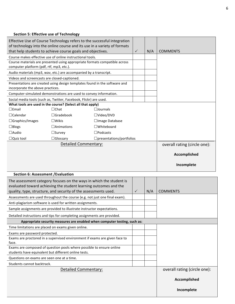## Section 5: Effective use of Technology

| Effective Use of Course Technology refers to the successful integration<br>of technology into the online course and its use in a variety of formats<br>that help students to achieve course goals and objectives. |                   | $\checkmark$          | N/A | <b>COMMENTS</b> |                              |
|-------------------------------------------------------------------------------------------------------------------------------------------------------------------------------------------------------------------|-------------------|-----------------------|-----|-----------------|------------------------------|
| Course makes effective use of online instructional tools.                                                                                                                                                         |                   |                       |     |                 |                              |
| Course materials are presented using appropriate formats compatible across                                                                                                                                        |                   |                       |     |                 |                              |
| computer platform (pdf, rtf, mp3, etc.).                                                                                                                                                                          |                   |                       |     |                 |                              |
| Audio materials (mp3, wav, etc.) are accompanied by a transcript.                                                                                                                                                 |                   |                       |     |                 |                              |
| Videos and screencasts are closed-captioned.                                                                                                                                                                      |                   |                       |     |                 |                              |
| Presentations are created using design templates found in the software and<br>incorporate the above practices.                                                                                                    |                   |                       |     |                 |                              |
| Computer-simulated demonstrations are used to convey information.                                                                                                                                                 |                   |                       |     |                 |                              |
| Social media tools (such as, Twitter, Facebook, Flickr) are used.                                                                                                                                                 |                   |                       |     |                 |                              |
| What tools are used in the course? (Select all that apply)                                                                                                                                                        |                   |                       |     |                 |                              |
| $\square$ Email                                                                                                                                                                                                   | $\Box$ Chat       | $\Box$ Journals       |     |                 |                              |
| $\Box$ Calendar                                                                                                                                                                                                   | $\Box$ Gradebook  | $\square$ Video/DVD   |     |                 |                              |
| □Graphics/Images                                                                                                                                                                                                  | $\square$ Wikis   | $\Box$ Image Database |     |                 |                              |
| $\Box$ Blogs                                                                                                                                                                                                      | $\Box$ Animations | $\square$ Whiteboard  |     |                 |                              |
| $\Box$ Audio                                                                                                                                                                                                      | $\square$ Survey  | $\square$ Podcasts    |     |                 |                              |
| $\Box$ Quiz tool<br>$\Box$ Glossary<br>$\Box$ presentations/portfolios                                                                                                                                            |                   |                       |     |                 |                              |
| <b>Detailed Commentary:</b>                                                                                                                                                                                       |                   |                       |     |                 | overall rating (circle one): |
|                                                                                                                                                                                                                   |                   |                       |     |                 | Accomplished                 |
|                                                                                                                                                                                                                   |                   |                       |     |                 | Incomplete                   |
| Section 6: Assessment / Evaluation                                                                                                                                                                                |                   |                       |     |                 |                              |
| The assessment category focuses on the ways in which the student is                                                                                                                                               |                   |                       |     |                 |                              |
| evaluated toward achieving the student learning outcomes and the                                                                                                                                                  |                   |                       |     |                 |                              |
| quality, type, structure, and security of the assessments used.                                                                                                                                                   |                   |                       |     | N/A             | <b>COMMENTS</b>              |

| quality, type, structure, and security of the assessments used.            | $\checkmark$ | IV/A | <b>CUMMENIS</b>              |  |  |
|----------------------------------------------------------------------------|--------------|------|------------------------------|--|--|
| Assessments are used throughout the course (e.g. not just one final exam). |              |      |                              |  |  |
| Anti-plagiarism software is used for written assignments.                  |              |      |                              |  |  |
| Sample assignments are provided to illustrate instructor expectations.     |              |      |                              |  |  |
| Detailed instructions and tips for completing assignments are provided.    |              |      |                              |  |  |
| Appropriate security measures are enabled when computer testing, such as:  |              |      |                              |  |  |
| Time limitations are placed on exams given online.                         |              |      |                              |  |  |
| Exams are password protected.                                              |              |      |                              |  |  |
| Exams are proctored in a supervised environment if exams are given face to |              |      |                              |  |  |
| face.                                                                      |              |      |                              |  |  |
| Exams are composed of question pools where possible to ensure online       |              |      |                              |  |  |
| students have equivalent but different online tests.                       |              |      |                              |  |  |
| Questions on exams are seen one at a time.                                 |              |      |                              |  |  |
| Students cannot backtrack.                                                 |              |      |                              |  |  |
| <b>Detailed Commentary:</b>                                                |              |      | overall rating (circle one): |  |  |
|                                                                            |              |      |                              |  |  |
|                                                                            |              |      | Accomplished                 |  |  |
|                                                                            |              |      |                              |  |  |
|                                                                            |              |      | Incomplete                   |  |  |